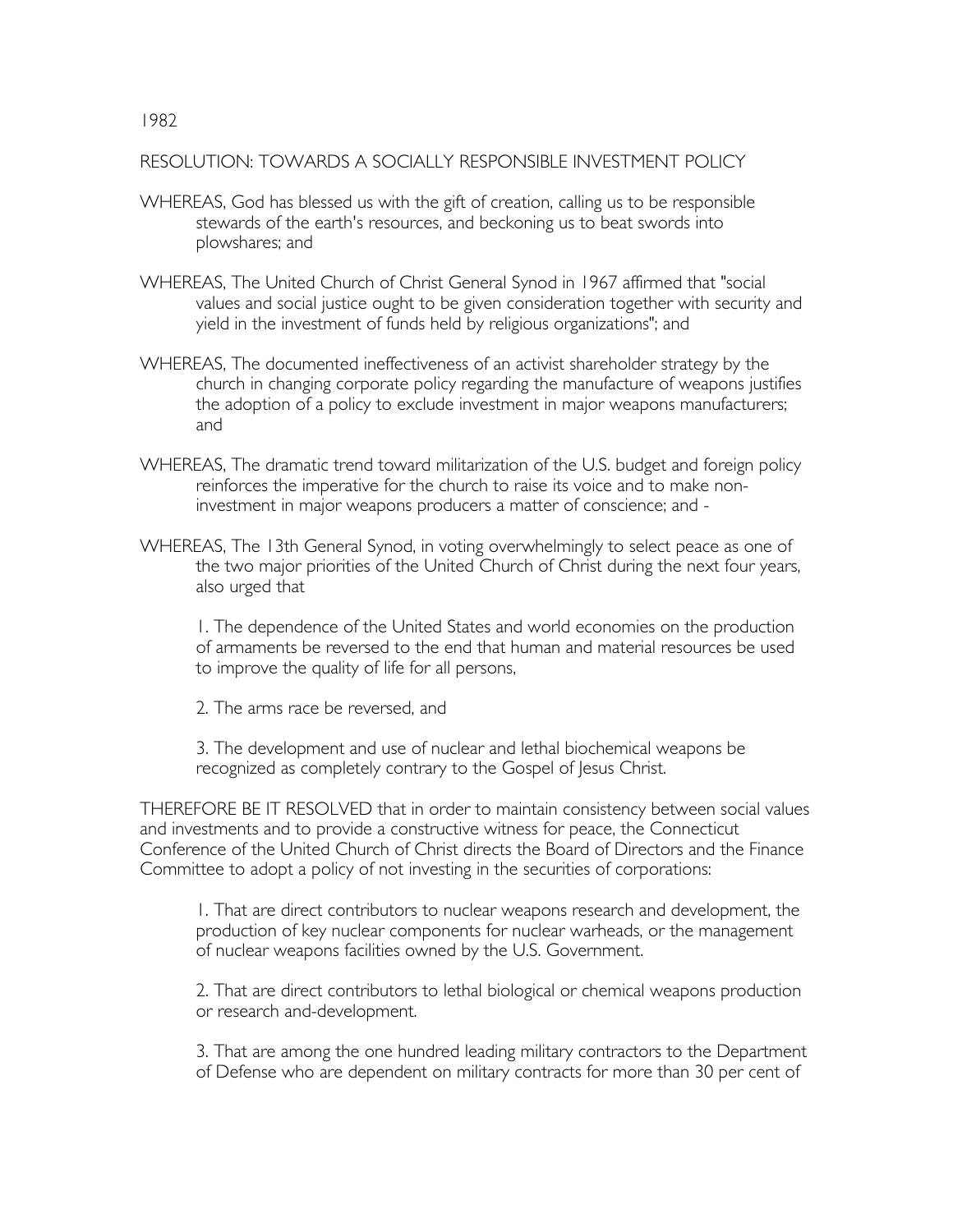RESOLUTION: TOWARDS A SOCIALLY RESPONSIBLE INVESTMENT POLICY

- WHEREAS, God has blessed us with the gift of creation, calling us to be responsible stewards of the earth's resources, and beckoning us to beat swords into plowshares; and
- WHEREAS, The United Church of Christ General Synod in 1967 affirmed that "social values and social justice ought to be given consideration together with security and yield in the investment of funds held by religious organizations"; and
- WHEREAS, The documented ineffectiveness of an activist shareholder strategy by the church in changing corporate policy regarding the manufacture of weapons justifies the adoption of a policy to exclude investment in major weapons manufacturers; and
- WHEREAS, The dramatic trend toward militarization of the U.S. budget and foreign policy reinforces the imperative for the church to raise its voice and to make noninvestment in major weapons producers a matter of conscience; and -
- WHEREAS, The 13th General Synod, in voting overwhelmingly to select peace as one of the two major priorities of the United Church of Christ during the next four years, also urged that

1. The dependence of the United States and world economies on the production of armaments be reversed to the end that human and material resources be used to improve the quality of life for all persons,

2. The arms race be reversed, and

3. The development and use of nuclear and lethal biochemical weapons be recognized as completely contrary to the Gospel of Jesus Christ.

THEREFORE BE IT RESOLVED that in order to maintain consistency between social values and investments and to provide a constructive witness for peace, the Connecticut Conference of the United Church of Christ directs the Board of Directors and the Finance Committee to adopt a policy of not investing in the securities of corporations:

1. That are direct contributors to nuclear weapons research and development, the production of key nuclear components for nuclear warheads, or the management of nuclear weapons facilities owned by the U.S. Government.

2. That are direct contributors to lethal biological or chemical weapons production or research and-development.

3. That are among the one hundred leading military contractors to the Department of Defense who are dependent on military contracts for more than 30 per cent of

1982